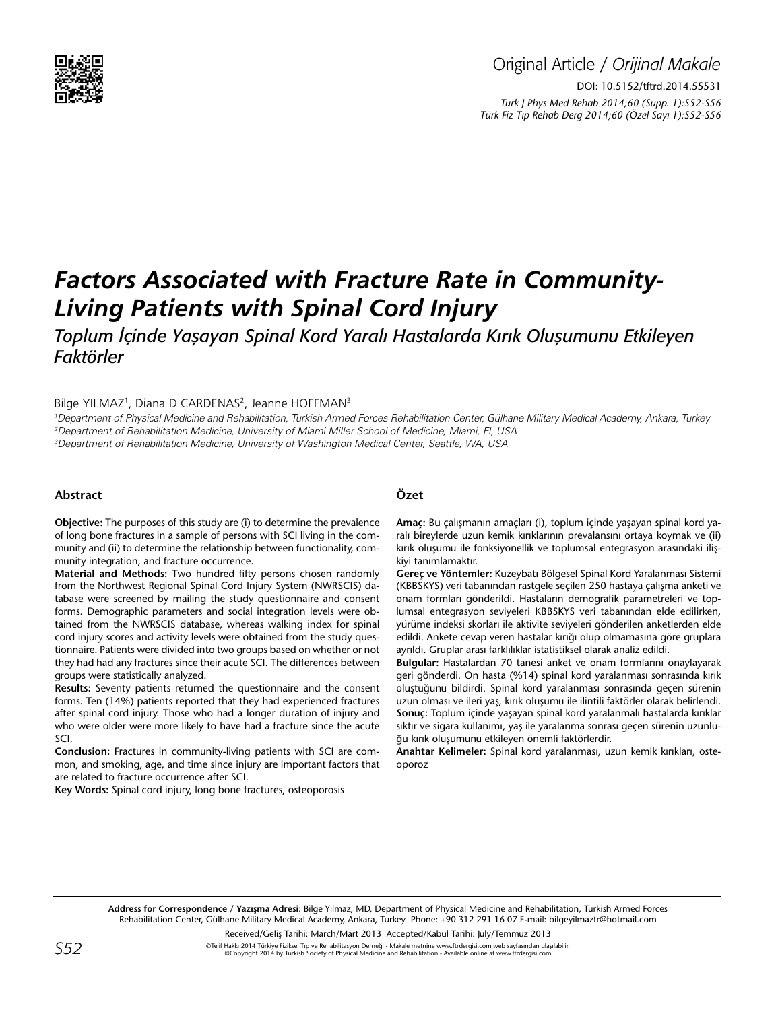

## Original Article / *Orijinal Makale* DOI: 10.5152/tftrd.2014.55531 *Turk J Phys Med Rehab 2014;60 (Supp. 1):S52-S56 Türk Fiz T›p Rehab Derg 2014;60 (Özel Sayı 1):S52-S56*

# *Factors Associated with Fracture Rate in Community-Living Patients with Spinal Cord Injury*

*Toplum İçinde Yaşayan Spinal Kord Yaralı Hastalarda Kırık Oluşumunu Etkileyen Faktörler*

Bilge YILMAZ<sup>1</sup>, Diana D CARDENAS<sup>2</sup>, Jeanne HOFFMAN<sup>3</sup>

1 Department of Physical Medicine and Rehabilitation, Turkish Armed Forces Rehabilitation Center, Gülhane Military Medical Academy, Ankara, Turkey 2 Department of Rehabilitation Medicine, University of Miami Miller School of Medicine, Miami, Fl, USA 3 Department of Rehabilitation Medicine, University of Washington Medical Center, Seattle, WA, USA

#### **Abstract**

**Objective:** The purposes of this study are (i) to determine the prevalence of long bone fractures in a sample of persons with SCI living in the community and (ii) to determine the relationship between functionality, community integration, and fracture occurrence.

**Material and Methods:** Two hundred fifty persons chosen randomly from the Northwest Regional Spinal Cord Injury System (NWRSCIS) database were screened by mailing the study questionnaire and consent forms. Demographic parameters and social integration levels were obtained from the NWRSCIS database, whereas walking index for spinal cord injury scores and activity levels were obtained from the study questionnaire. Patients were divided into two groups based on whether or not they had had any fractures since their acute SCI. The differences between groups were statistically analyzed.

**Results:** Seventy patients returned the questionnaire and the consent forms. Ten (14%) patients reported that they had experienced fractures after spinal cord injury. Those who had a longer duration of injury and who were older were more likely to have had a fracture since the acute SCI.

**Conclusion:** Fractures in community-living patients with SCI are common, and smoking, age, and time since injury are important factors that are related to fracture occurrence after SCI.

**Key Words:** Spinal cord injury, long bone fractures, osteoporosis

### **Özet**

**Amaç:** Bu çalışmanın amaçları (i), toplum içinde yaşayan spinal kord yaralı bireylerde uzun kemik kırıklarının prevalansını ortaya koymak ve (ii) kırık oluşumu ile fonksiyonellik ve toplumsal entegrasyon arasındaki ilişkiyi tanımlamaktır.

**Gereç ve Yöntemler:** Kuzeybatı Bölgesel Spinal Kord Yaralanması Sistemi (KBBSKYS) veri tabanından rastgele seçilen 250 hastaya çalışma anketi ve onam formları gönderildi. Hastaların demografik parametreleri ve toplumsal entegrasyon seviyeleri KBBSKYS veri tabanından elde edilirken, yürüme indeksi skorları ile aktivite seviyeleri gönderilen anketlerden elde edildi. Ankete cevap veren hastalar kırığı olup olmamasına göre gruplara ayrıldı. Gruplar arası farklılıklar istatistiksel olarak analiz edildi.

**Bulgular:** Hastalardan 70 tanesi anket ve onam formlarını onaylayarak geri gönderdi. On hasta (%14) spinal kord yaralanması sonrasında kırık oluştuğunu bildirdi. Spinal kord yaralanması sonrasında geçen sürenin uzun olması ve ileri yaş, kırık oluşumu ile ilintili faktörler olarak belirlendi. **Sonuç:** Toplum içinde yaşayan spinal kord yaralanmalı hastalarda kırıklar sıktır ve sigara kullanımı, yaş ile yaralanma sonrası geçen sürenin uzunluğu kırık oluşumunu etkileyen önemli faktörlerdir.

**Anahtar Kelimeler:** Spinal kord yaralanması, uzun kemik kırıkları, osteoporoz

Received/Geliş Tarihi: March/Mart 2013 Accepted/Kabul Tarihi: July/Temmuz 2013

 $\mathsf{S52}$   $\mathsf{S52}$   $\mathsf{S54}$   $\mathsf{S54}$   $\mathsf{S54}$   $\mathsf{S54}$   $\mathsf{S54}$   $\mathsf{S54}$   $\mathsf{S54}$   $\mathsf{S64}$   $\mathsf{S64}$   $\mathsf{S64}$   $\mathsf{S64}$   $\mathsf{S74}$   $\mathsf{S74}$   $\mathsf{S74}$   $\mathsf{S74}$   $\mathsf{S74}$   $\mathsf{S74}$   $\mathsf{S74}$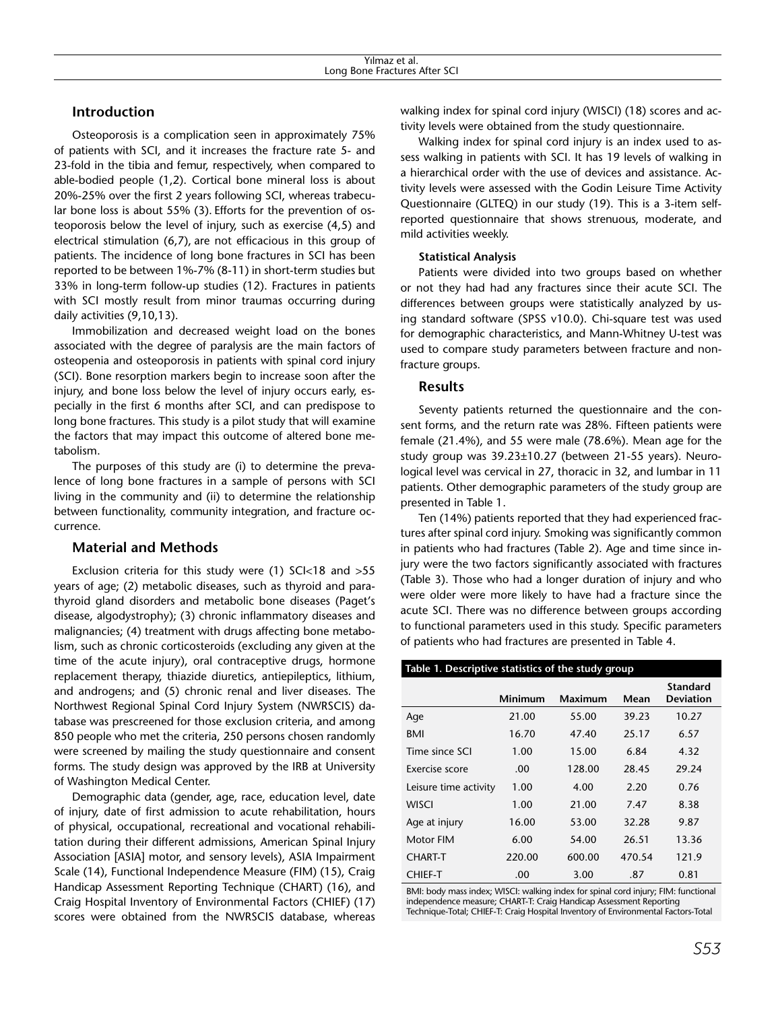## **Introduction**

Osteoporosis is a complication seen in approximately 75% of patients with SCI, and it increases the fracture rate 5- and 23-fold in the tibia and femur, respectively, when compared to able-bodied people (1,2). Cortical bone mineral loss is about 20%-25% over the first 2 years following SCI, whereas trabecular bone loss is about 55% (3). Efforts for the prevention of osteoporosis below the level of injury, such as exercise (4,5) and electrical stimulation (6,7), are not efficacious in this group of patients. The incidence of long bone fractures in SCI has been reported to be between 1%-7% (8-11) in short-term studies but 33% in long-term follow-up studies (12). Fractures in patients with SCI mostly result from minor traumas occurring during daily activities (9,10,13).

Immobilization and decreased weight load on the bones associated with the degree of paralysis are the main factors of osteopenia and osteoporosis in patients with spinal cord injury (SCI). Bone resorption markers begin to increase soon after the injury, and bone loss below the level of injury occurs early, especially in the first 6 months after SCI, and can predispose to long bone fractures. This study is a pilot study that will examine the factors that may impact this outcome of altered bone metabolism.

The purposes of this study are (i) to determine the prevalence of long bone fractures in a sample of persons with SCI living in the community and (ii) to determine the relationship between functionality, community integration, and fracture occurrence.

## **Material and Methods**

Exclusion criteria for this study were (1) SCI<18 and >55 years of age; (2) metabolic diseases, such as thyroid and parathyroid gland disorders and metabolic bone diseases (Paget's disease, algodystrophy); (3) chronic inflammatory diseases and malignancies; (4) treatment with drugs affecting bone metabolism, such as chronic corticosteroids (excluding any given at the time of the acute injury), oral contraceptive drugs, hormone replacement therapy, thiazide diuretics, antiepileptics, lithium, and androgens; and (5) chronic renal and liver diseases. The Northwest Regional Spinal Cord Injury System (NWRSCIS) database was prescreened for those exclusion criteria, and among 850 people who met the criteria, 250 persons chosen randomly were screened by mailing the study questionnaire and consent forms. The study design was approved by the IRB at University of Washington Medical Center.

Demographic data (gender, age, race, education level, date of injury, date of first admission to acute rehabilitation, hours of physical, occupational, recreational and vocational rehabilitation during their different admissions, American Spinal Injury Association [ASIA] motor, and sensory levels), ASIA Impairment Scale (14), Functional Independence Measure (FIM) (15), Craig Handicap Assessment Reporting Technique (CHART) (16), and Craig Hospital Inventory of Environmental Factors (CHIEF) (17) scores were obtained from the NWRSCIS database, whereas walking index for spinal cord injury (WISCI) (18) scores and activity levels were obtained from the study questionnaire.

Walking index for spinal cord injury is an index used to assess walking in patients with SCI. It has 19 levels of walking in a hierarchical order with the use of devices and assistance. Activity levels were assessed with the Godin Leisure Time Activity Questionnaire (GLTEQ) in our study (19). This is a 3-item selfreported questionnaire that shows strenuous, moderate, and mild activities weekly.

#### **Statistical Analysis**

Patients were divided into two groups based on whether or not they had had any fractures since their acute SCI. The differences between groups were statistically analyzed by using standard software (SPSS v10.0). Chi-square test was used for demographic characteristics, and Mann-Whitney U-test was used to compare study parameters between fracture and nonfracture groups.

#### **Results**

Seventy patients returned the questionnaire and the consent forms, and the return rate was 28%. Fifteen patients were female (21.4%), and 55 were male (78.6%). Mean age for the study group was 39.23±10.27 (between 21-55 years). Neurological level was cervical in 27, thoracic in 32, and lumbar in 11 patients. Other demographic parameters of the study group are presented in Table 1.

Ten (14%) patients reported that they had experienced fractures after spinal cord injury. Smoking was significantly common in patients who had fractures (Table 2). Age and time since injury were the two factors significantly associated with fractures (Table 3). Those who had a longer duration of injury and who were older were more likely to have had a fracture since the acute SCI. There was no difference between groups according to functional parameters used in this study. Specific parameters of patients who had fractures are presented in Table 4.

| Table 1. Descriptive statistics of the study group |                |         |        |                                     |  |  |  |
|----------------------------------------------------|----------------|---------|--------|-------------------------------------|--|--|--|
|                                                    | <b>Minimum</b> | Maximum | Mean   | <b>Standard</b><br><b>Deviation</b> |  |  |  |
| Age                                                | 21.00          | 55.00   | 39.23  | 10.27                               |  |  |  |
| BMI                                                | 16.70          | 47.40   | 25.17  | 6.57                                |  |  |  |
| Time since SCI                                     | 1.00           | 15.00   | 6.84   | 4.32                                |  |  |  |
| Exercise score                                     | .00            | 128.00  | 28.45  | 29.24                               |  |  |  |
| Leisure time activity                              | 1.00           | 4.00    | 2.20   | 0.76                                |  |  |  |
| WISCI                                              | 1.00           | 21.00   | 7.47   | 8.38                                |  |  |  |
| Age at injury                                      | 16.00          | 53.00   | 32.28  | 9.87                                |  |  |  |
| Motor FIM                                          | 6.00           | 54.00   | 26.51  | 13.36                               |  |  |  |
| <b>CHART-T</b>                                     | 220.00         | 600.00  | 470.54 | 121.9                               |  |  |  |
| <b>CHIEF-T</b>                                     | .00            | 3.00    | .87    | 0.81                                |  |  |  |

BMI: body mass index; WISCI: walking index for spinal cord injury; FIM: functional independence measure; CHART-T: Craig Handicap Assessment Reporting Technique-Total; CHIEF-T: Craig Hospital Inventory of Environmental Factors-Total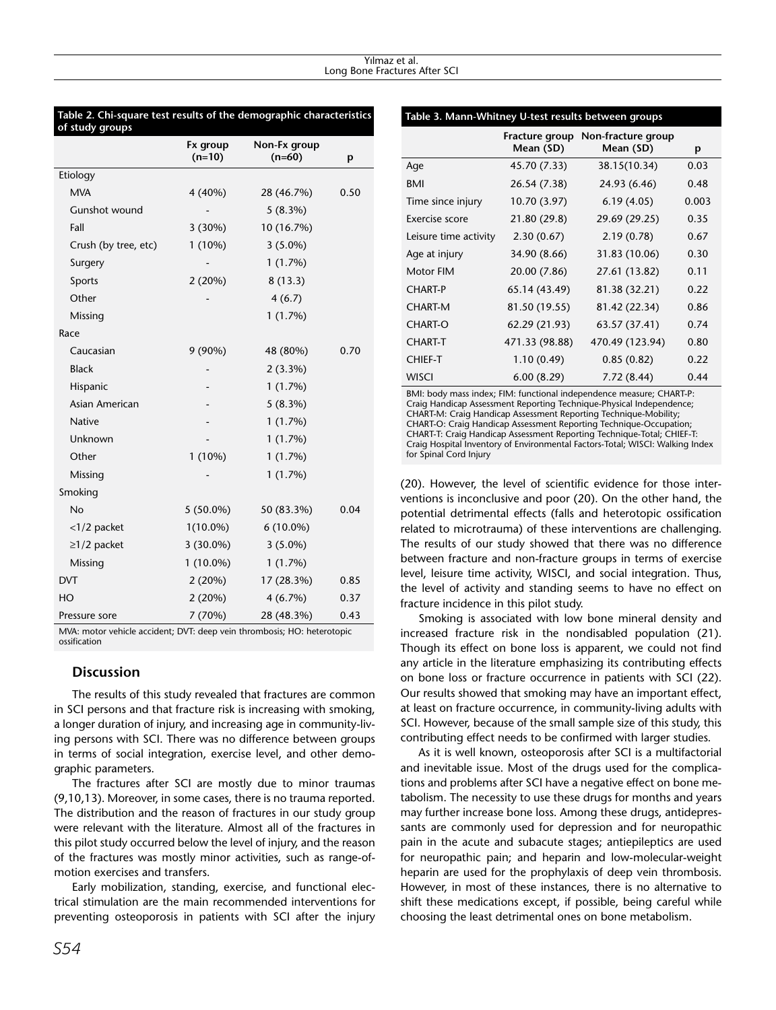| Table 2. Chi-square test results of the demographic characteristics<br>of study groups |                      |                          |      |  |  |  |  |
|----------------------------------------------------------------------------------------|----------------------|--------------------------|------|--|--|--|--|
|                                                                                        | Fx group<br>$(n=10)$ | Non-Fx group<br>$(n=60)$ | p    |  |  |  |  |
| Etiology                                                                               |                      |                          |      |  |  |  |  |
| <b>MVA</b>                                                                             | 4 (40%)              | 28 (46.7%)               | 0.50 |  |  |  |  |
| Gunshot wound                                                                          |                      | 5(8.3%)                  |      |  |  |  |  |
| Fall                                                                                   | 3(30%)               | 10 (16.7%)               |      |  |  |  |  |
| Crush (by tree, etc)                                                                   | $1(10\%)$            | $3(5.0\%)$               |      |  |  |  |  |
| Surgery                                                                                |                      | 1(1.7%)                  |      |  |  |  |  |
| Sports                                                                                 | 2(20%)               | 8(13.3)                  |      |  |  |  |  |
| Other                                                                                  |                      | 4(6.7)                   |      |  |  |  |  |
| Missing                                                                                |                      | 1(1.7%)                  |      |  |  |  |  |
| Race                                                                                   |                      |                          |      |  |  |  |  |
| Caucasian                                                                              | $9(90\%)$            | 48 (80%)                 | 0.70 |  |  |  |  |
| <b>Black</b>                                                                           |                      | $2(3.3\%)$               |      |  |  |  |  |
| Hispanic                                                                               |                      | 1(1.7%)                  |      |  |  |  |  |
| Asian American                                                                         |                      | 5(8.3%)                  |      |  |  |  |  |
| <b>Native</b>                                                                          |                      | 1(1.7%)                  |      |  |  |  |  |
| Unknown                                                                                |                      | 1(1.7%)                  |      |  |  |  |  |
| Other                                                                                  | $1(10\%)$            | 1(1.7%)                  |      |  |  |  |  |
| Missing                                                                                |                      | 1(1.7%)                  |      |  |  |  |  |
| Smoking                                                                                |                      |                          |      |  |  |  |  |
| No                                                                                     | $5(50.0\%)$          | 50 (83.3%)               | 0.04 |  |  |  |  |
| $<$ 1/2 packet                                                                         | $1(10.0\%)$          | $6(10.0\%)$              |      |  |  |  |  |
| $\geq$ 1/2 packet                                                                      | $3(30.0\%)$          | $3(5.0\%)$               |      |  |  |  |  |
| Missing                                                                                | $1(10.0\%)$          | 1(1.7%)                  |      |  |  |  |  |
| <b>DVT</b>                                                                             | 2(20%)               | 17 (28.3%)               | 0.85 |  |  |  |  |
| HO                                                                                     | 2(20%)               | $4(6.7\%)$               | 0.37 |  |  |  |  |
| Pressure sore                                                                          | 7 (70%)              | 28 (48.3%)               | 0.43 |  |  |  |  |
| $MN/2$ motor vobicle accident: $DYT$ deep voin thrombosis: HO: betergtonic             |                      |                          |      |  |  |  |  |

MVA: motor vehicle accident; DVT: deep vein thrombosis; HO: heterotopic ossification

## **Discussion**

The results of this study revealed that fractures are common in SCI persons and that fracture risk is increasing with smoking, a longer duration of injury, and increasing age in community-living persons with SCI. There was no difference between groups in terms of social integration, exercise level, and other demographic parameters.

The fractures after SCI are mostly due to minor traumas (9,10,13). Moreover, in some cases, there is no trauma reported. The distribution and the reason of fractures in our study group were relevant with the literature. Almost all of the fractures in this pilot study occurred below the level of injury, and the reason of the fractures was mostly minor activities, such as range-ofmotion exercises and transfers.

Early mobilization, standing, exercise, and functional electrical stimulation are the main recommended interventions for preventing osteoporosis in patients with SCI after the injury

#### **Table 3. Mann-Whitney U-test results between groups**

|                       | Fracture group<br>Mean (SD) | Non-fracture group<br>Mean (SD) | p     |
|-----------------------|-----------------------------|---------------------------------|-------|
| Age                   | 45.70 (7.33)                | 38.15(10.34)                    | 0.03  |
| BMI                   | 26.54 (7.38)                | 24.93 (6.46)                    | 0.48  |
| Time since injury     | 10.70 (3.97)                | 6.19(4.05)                      | 0.003 |
| Exercise score        | 21.80 (29.8)                | 29.69 (29.25)                   | 0.35  |
| Leisure time activity | 2.30(0.67)                  | 2.19(0.78)                      | 0.67  |
| Age at injury         | 34.90 (8.66)                | 31.83 (10.06)                   | 0.30  |
| Motor FIM             | 20.00 (7.86)                | 27.61 (13.82)                   | 0.11  |
| <b>CHART-P</b>        | 65.14 (43.49)               | 81.38 (32.21)                   | 0.22  |
| <b>CHART-M</b>        | 81.50 (19.55)               | 81.42 (22.34)                   | 0.86  |
| <b>CHART-O</b>        | 62.29 (21.93)               | 63.57 (37.41)                   | 0.74  |
| <b>CHART-T</b>        | 471.33 (98.88)              | 470.49 (123.94)                 | 0.80  |
| <b>CHIEF-T</b>        | 1.10(0.49)                  | 0.85(0.82)                      | 0.22  |
| <b>WISCI</b>          | 6.00(8.29)                  | 7.72 (8.44)                     | 0.44  |

BMI: body mass index; FIM: functional independence measure; CHART-P: Craig Handicap Assessment Reporting Technique-Physical Independence; CHART-M: Craig Handicap Assessment Reporting Technique-Mobility; CHART-O: Craig Handicap Assessment Reporting Technique-Occupation; CHART-T: Craig Handicap Assessment Reporting Technique-Total; CHIEF-T: Craig Hospital Inventory of Environmental Factors-Total; WISCI: Walking Index for Spinal Cord Injury

(20). However, the level of scientific evidence for those interventions is inconclusive and poor (20). On the other hand, the potential detrimental effects (falls and heterotopic ossification related to microtrauma) of these interventions are challenging. The results of our study showed that there was no difference between fracture and non-fracture groups in terms of exercise level, leisure time activity, WISCI, and social integration. Thus, the level of activity and standing seems to have no effect on fracture incidence in this pilot study.

Smoking is associated with low bone mineral density and increased fracture risk in the nondisabled population (21). Though its effect on bone loss is apparent, we could not find any article in the literature emphasizing its contributing effects on bone loss or fracture occurrence in patients with SCI (22). Our results showed that smoking may have an important effect, at least on fracture occurrence, in community-living adults with SCI. However, because of the small sample size of this study, this contributing effect needs to be confirmed with larger studies.

As it is well known, osteoporosis after SCI is a multifactorial and inevitable issue. Most of the drugs used for the complications and problems after SCI have a negative effect on bone metabolism. The necessity to use these drugs for months and years may further increase bone loss. Among these drugs, antidepressants are commonly used for depression and for neuropathic pain in the acute and subacute stages; antiepileptics are used for neuropathic pain; and heparin and low-molecular-weight heparin are used for the prophylaxis of deep vein thrombosis. However, in most of these instances, there is no alternative to shift these medications except, if possible, being careful while choosing the least detrimental ones on bone metabolism.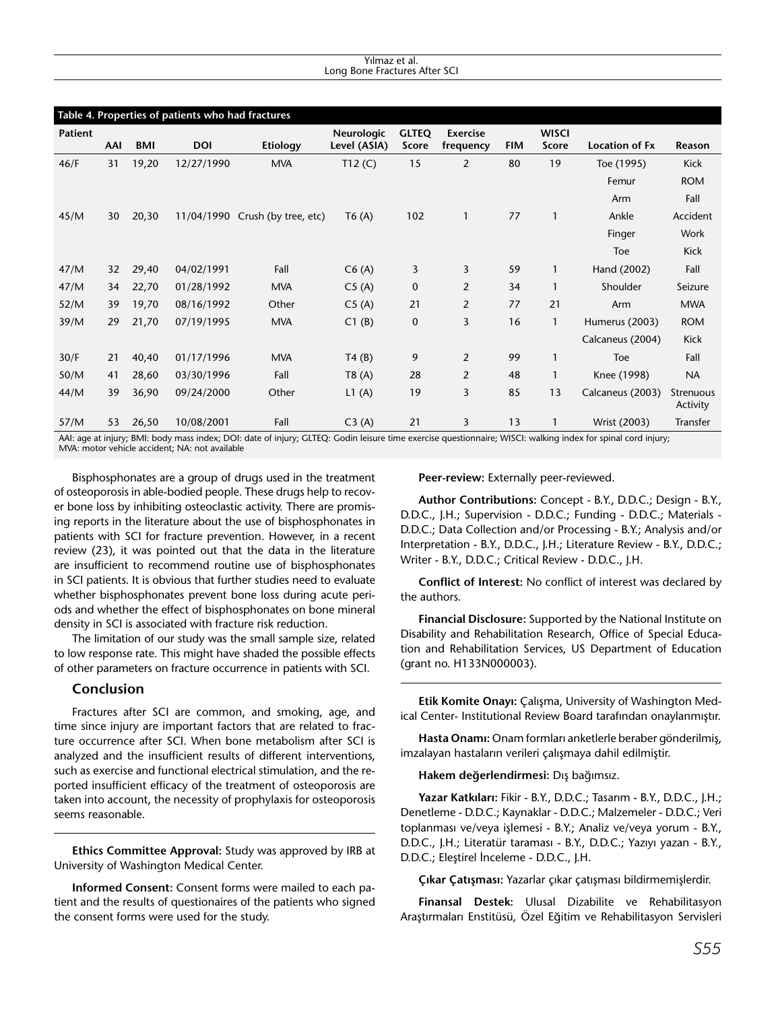#### Yılmaz et al. Long Bone Fractures After SCI

| Table 4. Properties of patients who had fractures                                                                                                             |     |       |            |                                 |                   |              |                 |            |              |                       |                       |
|---------------------------------------------------------------------------------------------------------------------------------------------------------------|-----|-------|------------|---------------------------------|-------------------|--------------|-----------------|------------|--------------|-----------------------|-----------------------|
| <b>Patient</b>                                                                                                                                                |     |       |            |                                 | <b>Neurologic</b> | <b>GLTEQ</b> | <b>Exercise</b> |            | <b>WISCI</b> |                       |                       |
|                                                                                                                                                               | AAI | BMI   | <b>DOI</b> | Etiology                        | Level (ASIA)      | Score        | frequency       | <b>FIM</b> | Score        | <b>Location of Fx</b> | Reason                |
| 46/F                                                                                                                                                          | 31  | 19,20 | 12/27/1990 | <b>MVA</b>                      | T12(C)            | 15           | 2               | 80         | 19           | Toe (1995)            | Kick                  |
|                                                                                                                                                               |     |       |            |                                 |                   |              |                 |            |              | Femur                 | <b>ROM</b>            |
|                                                                                                                                                               |     |       |            |                                 |                   |              |                 |            |              | Arm                   | Fall                  |
| 45/M                                                                                                                                                          | 30  | 20,30 |            | 11/04/1990 Crush (by tree, etc) | T6(A)             | 102          | $\mathbf{1}$    | 77         | $\mathbf{1}$ | Ankle                 | Accident              |
|                                                                                                                                                               |     |       |            |                                 |                   |              |                 |            |              | Finger                | Work                  |
|                                                                                                                                                               |     |       |            |                                 |                   |              |                 |            |              | Toe                   | <b>Kick</b>           |
| 47/M                                                                                                                                                          | 32  | 29,40 | 04/02/1991 | Fall                            | C6(A)             | 3            | 3               | 59         | 1            | Hand (2002)           | Fall                  |
| 47/M                                                                                                                                                          | 34  | 22,70 | 01/28/1992 | <b>MVA</b>                      | C5(A)             | 0            | 2               | 34         | 1            | Shoulder              | Seizure               |
| 52/M                                                                                                                                                          | 39  | 19,70 | 08/16/1992 | Other                           | C5(A)             | 21           | $\overline{2}$  | 77         | 21           | Arm                   | <b>MWA</b>            |
| 39/M                                                                                                                                                          | 29  | 21,70 | 07/19/1995 | <b>MVA</b>                      | C1(B)             | 0            | 3               | 16         | $\mathbf{1}$ | Humerus (2003)        | <b>ROM</b>            |
|                                                                                                                                                               |     |       |            |                                 |                   |              |                 |            |              | Calcaneus (2004)      | Kick                  |
| 30/F                                                                                                                                                          | 21  | 40,40 | 01/17/1996 | <b>MVA</b>                      | T4(B)             | 9            | 2               | 99         | $\mathbf{1}$ | <b>Toe</b>            | Fall                  |
| 50/M                                                                                                                                                          | 41  | 28,60 | 03/30/1996 | Fall                            | T8(A)             | 28           | $\overline{2}$  | 48         | $\mathbf{1}$ | Knee (1998)           | <b>NA</b>             |
| 44/M                                                                                                                                                          | 39  | 36,90 | 09/24/2000 | Other                           | L1(A)             | 19           | 3               | 85         | 13           | Calcaneus (2003)      | Strenuous<br>Activity |
| 57/M                                                                                                                                                          | 53  | 26,50 | 10/08/2001 | Fall                            | C3(A)             | 21           | 3               | 13         | $\mathbf{1}$ | Wrist (2003)          | Transfer              |
| AAI: age at injury; BMI: body mass index; DOI: date of injury; GLTEQ: Godin leisure time exercise questionnaire; WISCI: walking index for spinal cord injury; |     |       |            |                                 |                   |              |                 |            |              |                       |                       |

MVA: motor vehicle accident; NA: not available

Bisphosphonates are a group of drugs used in the treatment of osteoporosis in able-bodied people. These drugs help to recover bone loss by inhibiting osteoclastic activity. There are promising reports in the literature about the use of bisphosphonates in patients with SCI for fracture prevention. However, in a recent review (23), it was pointed out that the data in the literature are insufficient to recommend routine use of bisphosphonates in SCI patients. It is obvious that further studies need to evaluate whether bisphosphonates prevent bone loss during acute periods and whether the effect of bisphosphonates on bone mineral density in SCI is associated with fracture risk reduction.

The limitation of our study was the small sample size, related to low response rate. This might have shaded the possible effects of other parameters on fracture occurrence in patients with SCI.

#### **Conclusion**

Fractures after SCI are common, and smoking, age, and time since injury are important factors that are related to fracture occurrence after SCI. When bone metabolism after SCI is analyzed and the insufficient results of different interventions, such as exercise and functional electrical stimulation, and the reported insufficient efficacy of the treatment of osteoporosis are taken into account, the necessity of prophylaxis for osteoporosis seems reasonable.

**Ethics Committee Approval:** Study was approved by IRB at University of Washington Medical Center.

**Informed Consent:** Consent forms were mailed to each patient and the results of questionaires of the patients who signed the consent forms were used for the study.

**Peer-review:** Externally peer-reviewed.

**Author Contributions:** Concept - B.Y., D.D.C.; Design - B.Y., D.D.C., J.H.; Supervision - D.D.C.; Funding - D.D.C.; Materials - D.D.C.; Data Collection and/or Processing - B.Y.; Analysis and/or Interpretation - B.Y., D.D.C., J.H.; Literature Review - B.Y., D.D.C.; Writer - B.Y., D.D.C.; Critical Review - D.D.C., J.H.

**Conflict of Interest:** No conflict of interest was declared by the authors.

**Financial Disclosure:** Supported by the National Institute on Disability and Rehabilitation Research, Office of Special Education and Rehabilitation Services, US Department of Education (grant no. H133N000003).

**Etik Komite Onayı:** Çalışma, University of Washington Medical Center- Institutional Review Board tarafından onaylanmıştır.

**Hasta Onamı:** Onam formları anketlerle beraber gönderilmiş, imzalayan hastaların verileri çalışmaya dahil edilmiştir.

#### **Hakem değerlendirmesi:** Dış bağımsız.

**Yazar Katkıları:** Fikir - B.Y., D.D.C.; Tasarım - B.Y., D.D.C., J.H.; Denetleme - D.D.C.; Kaynaklar - D.D.C.; Malzemeler - D.D.C.; Veri toplanması ve/veya işlemesi - B.Y.; Analiz ve/veya yorum - B.Y., D.D.C., J.H.; Literatür taraması - B.Y., D.D.C.; Yazıyı yazan - B.Y., D.D.C.; Eleştirel İnceleme - D.D.C., J.H.

**Çıkar Çatışması:** Yazarlar çıkar çatışması bildirmemişlerdir.

**Finansal Destek:** Ulusal Dizabilite ve Rehabilitasyon Araştırmaları Enstitüsü, Özel Eğitim ve Rehabilitasyon Servisleri